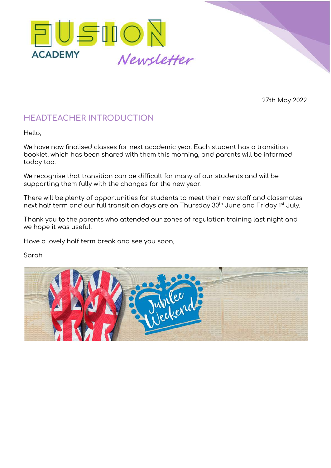

27th May 2022

# **HEADTEACHER INTRODUCTION**

Hello,

We have now finalised classes for next academic year. Each student has a transition booklet, which has been shared with them this morning, and parents will be informed today too.

We recognise that transition can be difficult for many of our students and will be supporting them fully with the changes for the new year.

There will be plenty of opportunities for students to meet their new staff and classmates next half term and our full transition days are on Thursday 30<sup>th</sup> June and Friday 1st July.

Thank you to the parents who attended our zones of regulation training last night and we hope it was useful.

Have a lovely half term break and see you soon,

Sarah

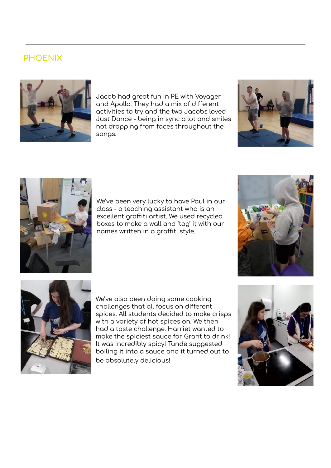# **PHOENIX**



Jacob had great fun in PE with Voyager and Apollo. They had a mix of different activities to try and the two Jacobs loved Just Dance - being in sync a lot and smiles not dropping from faces throughout the songs.





We've been very lucky to have Paul in our class - a teaching assistant who is an excellent graffiti artist. We used recycled boxes to make a wall and 'tag' it with our names written in a graffiti style.





We've also been doing some cooking challenges that all focus on different spices. All students decided to make crisps with a variety of hot spices on. We then had a taste challenge. Harriet wanted to make the spiciest sauce for Grant to drink! It was incredibly spicy! Tunde suggested boiling it into a sauce and it turned out to be absolutely delicious!

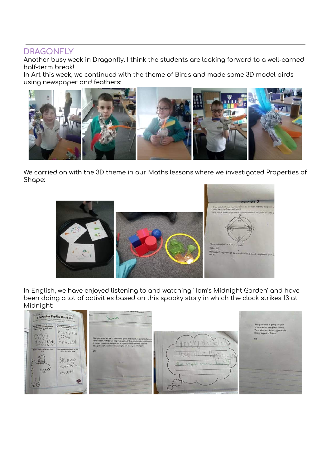#### **DRAGONFLY**

Another busy week in Dragonfly. I think the students are looking forward to a well-earned half-term break!

In Art this week, we continued with the theme of Birds and made some 3D model birds using newspaper and feathers:



We carried on with the 3D theme in our Maths lessons where we investigated Properties of Shape:



In English, we have enjoyed listening to and watching 'Tom's Midnight Garden' and have been doing a lot of activities based on this spooky story in which the clock strikes 13 at Midnight:

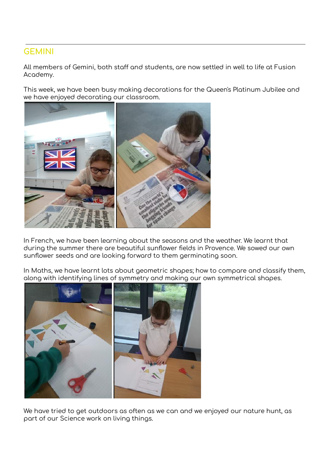#### **GEMINI**

All members of Gemini, both staff and students, are now settled in well to life at Fusion Academy.

This week, we have been busy making decorations for the Queen's Platinum Jubilee and we have enjoyed decorating our classroom.



In French, we have been learning about the seasons and the weather. We learnt that during the summer there are beautiful sunflower fields in Provence. We sowed our own sunflower seeds and are looking forward to them germinating soon.

In Maths, we have learnt lots about geometric shapes; how to compare and classify them, along with identifying lines of symmetry and making our own symmetrical shapes.



We have tried to get outdoors as often as we can and we enjoyed our nature hunt, as part of our Science work on living things.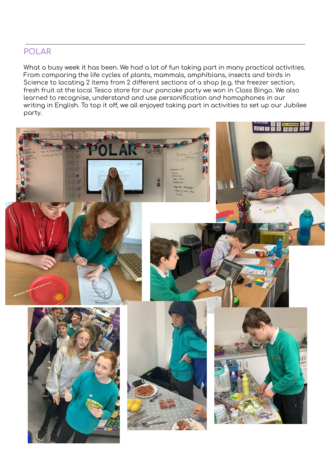### **POLAR**

What a busy week it has been. We had a lot of fun taking part in many practical activities. From comparing the life cycles of plants, mammals, amphibians, insects and birds in Science to locating 2 items from 2 different sections of a shop (e.g. the freezer section, fresh fruit at the local Tesco store for our pancake party we won in Class Bingo. We also learned to recognise, understand and use personification and homophones in our writing in English. To top it off, we all enjoyed taking part in activities to set up our Jubilee party.

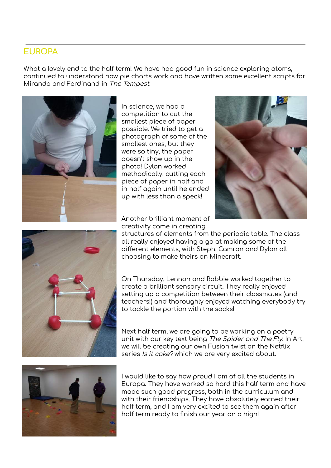# **EUROPA**

What a lovely end to the half term! We have had good fun in science exploring atoms, continued to understand how pie charts work and have written some excellent scripts for Miranda and Ferdinand in The Tempest.



In science, we had a competition to cut the smallest piece of paper possible. We tried to get a photograph of some of the smallest ones, but they were so tiny, the paper doesn't show up in the photo! Dylan worked methodically, cutting each piece of paper in half and in half again until he ended up with less than a speck!





Another brilliant moment of creativity came in creating

structures of elements from the periodic table. The class all really enjoyed having a go at making some of the different elements, with Steph, Camron and Dylan all choosing to make theirs on Minecraft.

On Thursday, Lennon and Robbie worked together to create a brilliant sensory circuit. They really enjoyed setting up a competition between their classmates (and teachers!) and thoroughly enjoyed watching everybody try to tackle the portion with the sacks!

Next half term, we are going to be working on a poetry unit with our key text being The Spider and The Fly. In Art, we will be creating our own Fusion twist on the Netflix series Is it cake? which we are very excited about.



I would like to say how proud I am of all the students in Europa. They have worked so hard this half term and have made such good progress, both in the curriculum and with their friendships. They have absolutely earned their half term, and I am very excited to see them again after half term ready to finish our year on a high!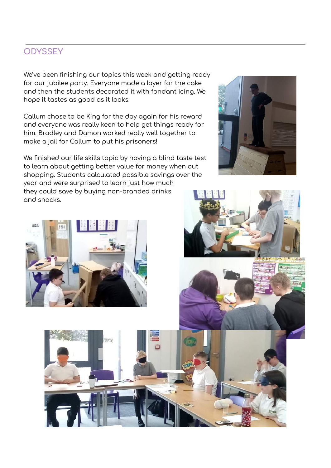# **ODYSSEY**

We've been finishing our topics this week and getting ready for our jubilee party. Everyone made a layer for the cake and then the students decorated it with fondant icing. We hope it tastes as good as it looks.

Callum chose to be King for the day again for his reward and everyone was really keen to help get things ready for him. Bradley and Damon worked really well together to make a jail for Callum to put his prisoners!

We finished our life skills topic by having a blind taste test to learn about getting better value for money when out shopping. Students calculated possible savings over the

year and were surprised to learn just how much they could save by buying non-branded drinks and snacks.









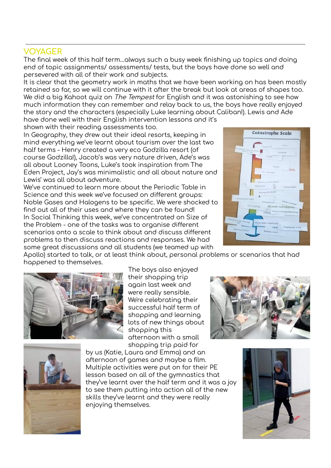#### **VOYAGER**

The final week of this half term…always such a busy week finishing up topics and doing end of topic assignments/ assessments/ tests, but the boys have done so well and persevered with all of their work and subjects.

It is clear that the geometry work in maths that we have been working on has been mostly retained so far, so we will continue with it after the break but look at areas of shapes too. We did a big Kahoot quiz on The Tempest for English and it was astonishing to see how much information they can remember and relay back to us, the boys have really enjoyed the story and the characters (especially Luke learning about Caliban!). Lewis and Ade

have done well with their English intervention lessons and it's shown with their reading assessments too.

In Geography, they drew out their ideal resorts, keeping in mind everything we've learnt about tourism over the last two half terms - Henry created a very eco Godzilla resort (of course Godzilla!), Jacob's was very nature driven, Ade's was all about Looney Toons, Luke's took inspiration from The Eden Project, Jay's was minimalistic and all about nature and Lewis' was all about adventure.

We've continued to learn more about the Periodic Table in Science and this week we've focused on different groups: Noble Gases and Halogens to be specific. We were shocked to find out all of their uses and where they can be found! In Social Thinking this week, we've concentrated on Size of the Problem - one of the tasks was to organise different scenarios onto a scale to think about and discuss different problems to then discuss reactions and responses. We had some great discussions and all students (we teamed up with



Apollo) started to talk, or at least think about, personal problems or scenarios that had happened to themselves.



The boys also enjoyed their shopping trip again last week and were really sensible. We're celebrating their successful half term of shopping and learning lots of new things about shopping this afternoon with a small shopping trip paid for





by us (Katie, Laura and Emma) and an afternoon of games and maybe a film. Multiple activities were put on for their PE lesson based on all of the gymnastics that they've learnt over the half term and it was a joy to see them putting into action all of the new skills they've learnt and they were really enjoying themselves.

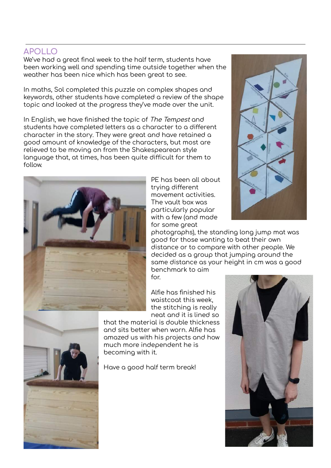### **APOLLO**

We've had a great final week to the half term, students have been working well and spending time outside together when the weather has been nice which has been great to see.

In maths, Sol completed this puzzle on complex shapes and keywords, other students have completed a review of the shape topic and looked at the progress they've made over the unit.

In English, we have finished the topic of The Tempest and students have completed letters as a character to a different character in the story. They were great and have retained a good amount of knowledge of the characters, but most are relieved to be moving on from the Shakespearean style language that, at times, has been quite difficult for them to follow.



PE has been all about trying different movement activities. The vault box was particularly popular with a few (and made for some great



photographs), the standing long jump mat was good for those wanting to beat their own distance or to compare with other people. We decided as a group that jumping around the same distance as your height in cm was a good benchmark to aim for.

Alfie has finished his waistcoat this week, the stitching is really neat and it is lined so

that the material is double thickness and sits better when worn. Alfie has amazed us with his projects and how much more independent he is becoming with it.

Have a good half term break!

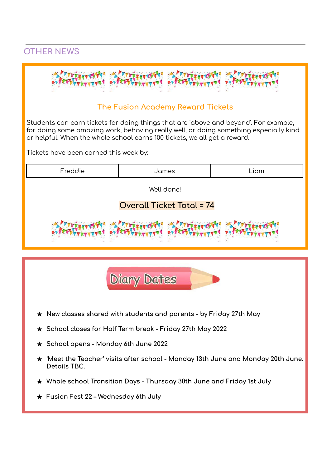# **OTHER NEWS**



### **The Fusion Academy Reward Tickets**

Students can earn tickets for doing things that are 'above and beyond'. For example, for doing some amazing work, behaving really well, or doing something especially kind or helpful. When the whole school earns 100 tickets, we all get a reward.

Tickets have been earned this week by:

| Freddie                                                                                                       | James | Liam |
|---------------------------------------------------------------------------------------------------------------|-------|------|
| Well done!                                                                                                    |       |      |
| <b>Overall Ticket Total = 74</b>                                                                              |       |      |
|                                                                                                               |       |      |
|                                                                                                               |       |      |
| <b>Diary Dates</b>                                                                                            |       |      |
| New classes shared with students and parents - by Friday 27th May                                             |       |      |
| School closes for Half Term break - Friday 27th May 2022<br>$\bigstar$                                        |       |      |
| School opens - Monday 6th June 2022<br>$\bigstar$                                                             |       |      |
| 'Meet the Teacher' visits after school - Monday 13th June and Monday 20th June.<br>$\bigstar$<br>Details TBC. |       |      |
| Whole school Transition Days - Thursday 30th June and Friday 1st July<br>$\bigstar$                           |       |      |
| $\star$ Fusion Fest 22 – Wednesday 6th July                                                                   |       |      |